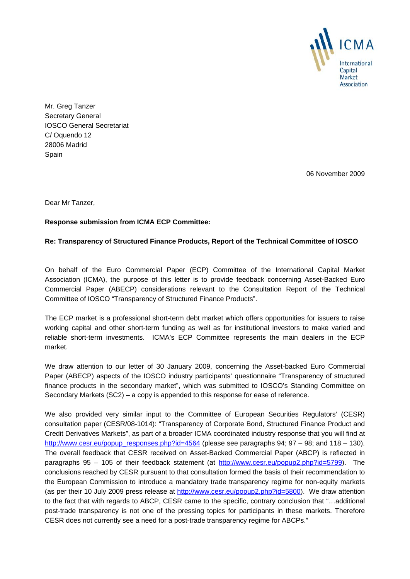

Mr. Greg Tanzer Secretary General IOSCO General Secretariat C/ Oquendo 12 28006 Madrid Spain

06 November 2009

Dear Mr Tanzer,

## **Response submission from ICMA ECP Committee:**

## **Re: Transparency of Structured Finance Products, Report of the Technical Committee of IOSCO**

On behalf of the Euro Commercial Paper (ECP) Committee of the International Capital Market Association (ICMA), the purpose of this letter is to provide feedback concerning Asset-Backed Euro Commercial Paper (ABECP) considerations relevant to the Consultation Report of the Technical Committee of IOSCO "Transparency of Structured Finance Products".

The ECP market is a professional short-term debt market which offers opportunities for issuers to raise working capital and other short-term funding as well as for institutional investors to make varied and reliable short-term investments. ICMA's ECP Committee represents the main dealers in the ECP market.

We draw attention to our letter of 30 January 2009, concerning the Asset-backed Euro Commercial Paper (ABECP) aspects of the IOSCO industry participants' questionnaire "Transparency of structured finance products in the secondary market", which was submitted to IOSCO's Standing Committee on Secondary Markets (SC2) – a copy is appended to this response for ease of reference.

We also provided very similar input to the Committee of European Securities Regulators' (CESR) consultation paper (CESR/08-1014): "Transparency of Corporate Bond, Structured Finance Product and Credit Derivatives Markets", as part of a broader ICMA coordinated industry response that you will find at http://www.cesr.eu/popup\_responses.php?id=4564 (please see paragraphs 94; 97 – 98; and 118 – 130). The overall feedback that CESR received on Asset-Backed Commercial Paper (ABCP) is reflected in paragraphs 95 – 105 of their feedback statement (at http://www.cesr.eu/popup2.php?id=5799). The conclusions reached by CESR pursuant to that consultation formed the basis of their recommendation to the European Commission to introduce a mandatory trade transparency regime for non-equity markets (as per their 10 July 2009 press release at http://www.cesr.eu/popup2.php?id=5800). We draw attention to the fact that with regards to ABCP, CESR came to the specific, contrary conclusion that "…additional post-trade transparency is not one of the pressing topics for participants in these markets. Therefore CESR does not currently see a need for a post-trade transparency regime for ABCPs."